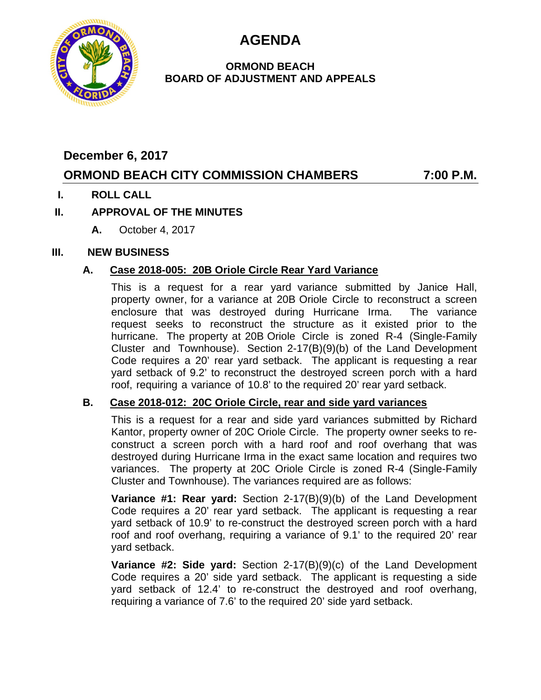**AGENDA**



#### **ORMOND BEACH BOARD OF ADJUSTMENT AND APPEALS**

## **December 6, 2017**

# **ORMOND BEACH CITY COMMISSION CHAMBERS 7:00 P.M.**

## **I. ROLL CALL**

## **II. APPROVAL OF THE MINUTES**

**A.** October 4, 2017

## **III. NEW BUSINESS**

## **A. Case 2018-005: 20B Oriole Circle Rear Yard Variance**

This is a request for a rear yard variance submitted by Janice Hall, property owner, for a variance at 20B Oriole Circle to reconstruct a screen enclosure that was destroyed during Hurricane Irma. The variance request seeks to reconstruct the structure as it existed prior to the hurricane. The property at 20B Oriole Circle is zoned R-4 (Single-Family Cluster and Townhouse). Section 2-17(B)(9)(b) of the Land Development Code requires a 20' rear yard setback. The applicant is requesting a rear yard setback of 9.2' to reconstruct the destroyed screen porch with a hard roof, requiring a variance of 10.8' to the required 20' rear yard setback.

## **B. Case 2018-012: 20C Oriole Circle, rear and side yard variances**

This is a request for a rear and side yard variances submitted by Richard Kantor, property owner of 20C Oriole Circle. The property owner seeks to reconstruct a screen porch with a hard roof and roof overhang that was destroyed during Hurricane Irma in the exact same location and requires two variances. The property at 20C Oriole Circle is zoned R-4 (Single-Family Cluster and Townhouse). The variances required are as follows:

**Variance #1: Rear yard:** Section 2-17(B)(9)(b) of the Land Development Code requires a 20' rear yard setback. The applicant is requesting a rear yard setback of 10.9' to re-construct the destroyed screen porch with a hard roof and roof overhang, requiring a variance of 9.1' to the required 20' rear yard setback.

**Variance #2: Side yard:** Section 2-17(B)(9)(c) of the Land Development Code requires a 20' side yard setback. The applicant is requesting a side yard setback of 12.4' to re-construct the destroyed and roof overhang, requiring a variance of 7.6' to the required 20' side yard setback.